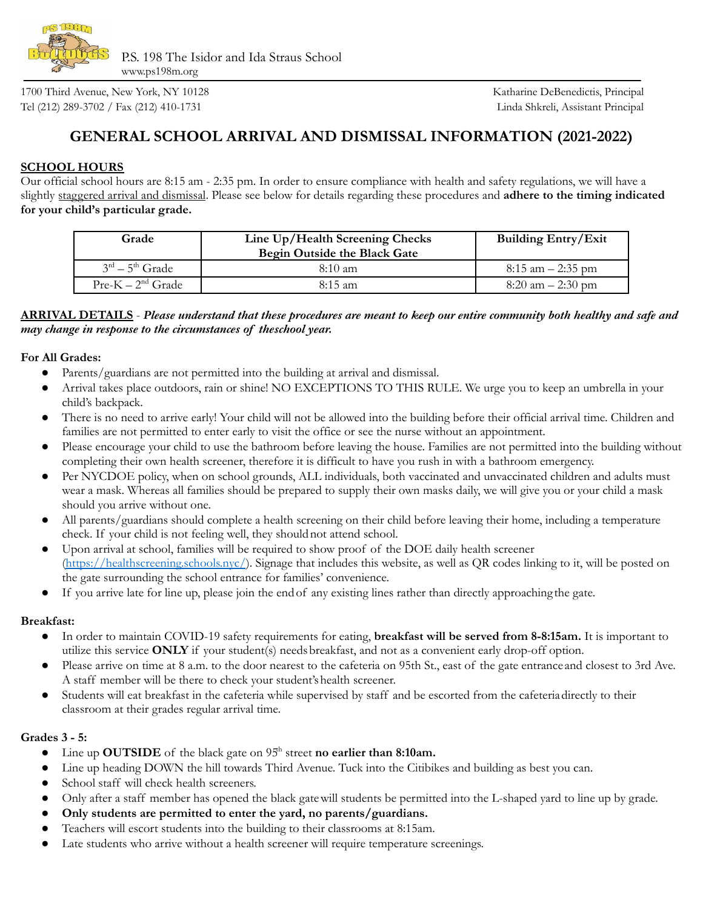

1700 Third Avenue, New York, NY 10128 Katharine DeBenedictis, Principal Tel (212) 289-3702 / Fax (212) 410-1731 Linda Shkreli, Assistant Principal

# **GENERAL SCHOOL ARRIVAL AND DISMISSAL INFORMATION (2021-2022)**

# **SCHOOL HOURS**

Our official school hours are 8:15 am - 2:35 pm. In order to ensure compliance with health and safety regulations, we will have a slightly staggered arrival and dismissal. Please see below for details regarding these procedures and **adhere to the timing indicated for your child's particular grade.**

| Grade             | Line Up/Health Screening Checks<br>Begin Outside the Black Gate | <b>Building Entry/Exit</b> |
|-------------------|-----------------------------------------------------------------|----------------------------|
| $3rd - 5th$ Grade | $8:10 \text{ am}$                                               | $8:15$ am $-2:35$ pm       |
| $Pre-K-2nd Grade$ | $8:15 \text{ am}$                                               | $8:20$ am $-2:30$ pm       |

### ARRIVAL DETAILS - Please understand that these procedures are meant to keep our entire community both healthy and safe and *may change in response to the circumstances of theschool year.*

#### **For All Grades:**

- Parents/guardians are not permitted into the building at arrival and dismissal.
- Arrival takes place outdoors, rain or shine! NO EXCEPTIONS TO THIS RULE. We urge you to keep an umbrella in your child's backpack.
- There is no need to arrive early! Your child will not be allowed into the building before their official arrival time. Children and families are not permitted to enter early to visit the office or see the nurse without an appointment.
- Please encourage your child to use the bathroom before leaving the house. Families are not permitted into the building without completing their own health screener, therefore it is difficult to have you rush in with a bathroom emergency.
- Per NYCDOE policy, when on school grounds, ALL individuals, both vaccinated and unvaccinated children and adults must wear a mask. Whereas all families should be prepared to supply their own masks daily, we will give you or your child a mask should you arrive without one.
- All parents/guardians should complete a health screening on their child before leaving their home, including a temperature check. If your child is not feeling well, they shouldnot attend school.
- Upon arrival at school, families will be required to show proof of the DOE daily health screener [\(https://healthscreening.schools.nyc/](https://nam10.safelinks.protection.outlook.com/?url=https%3A%2F%2Fhealthscreening.schools.nyc%2F&data=04%7C01%7CRManko%40schools.nyc.gov%7C73ea3809d80040167c1308d963e8ec12%7C18492cb7ef45456185710c42e5f7ac07%7C0%7C0%7C637650674345848009%7CUnknown%7CTWFpbGZsb3d8eyJWIjoiMC4wLjAwMDAiLCJQIjoiV2luMzIiLCJBTiI6Ik1haWwiLCJXVCI6Mn0%3D%7C1000&sdata=ukLgJYu0OzjKU6PP8WhCRXXe2qY5bE5Ky2o9CGl%2Bakg%3D&reserved=0)). Signage that includes this website, as well as QR codes linking to it, will be posted on the gate surrounding the school entrance for families' convenience.
- If you arrive late for line up, please join the end of any existing lines rather than directly approaching the gate.

#### **Breakfast:**

- In order to maintain COVID-19 safety requirements for eating, **breakfast will be served from 8-8:15am.** It is important to utilize this service **ONLY** if your student(s) needsbreakfast, and not as a convenient early drop-off option.
- Please arrive on time at 8 a.m. to the door nearest to the cafeteria on 95th St., east of the gate entrance and closest to 3rd Ave. A staff member will be there to check your student'shealth screener.
- Students will eat breakfast in the cafeteria while supervised by staff and be escorted from the cafeteriadirectly to their classroom at their grades regular arrival time.

# **Grades 3 - 5:**

- Line up OUTSIDE of the black gate on 95<sup>th</sup> street **no** earlier than 8:10am.
- Line up heading DOWN the hill towards Third Avenue. Tuck into the Citibikes and building as best you can.
- School staff will check health screeners.
- Only after a staff member has opened the black gate will students be permitted into the L-shaped yard to line up by grade.
- **Only students are permitted to enter the yard, no parents/guardians.**
- Teachers will escort students into the building to their classrooms at 8:15am.
- Late students who arrive without a health screener will require temperature screenings.